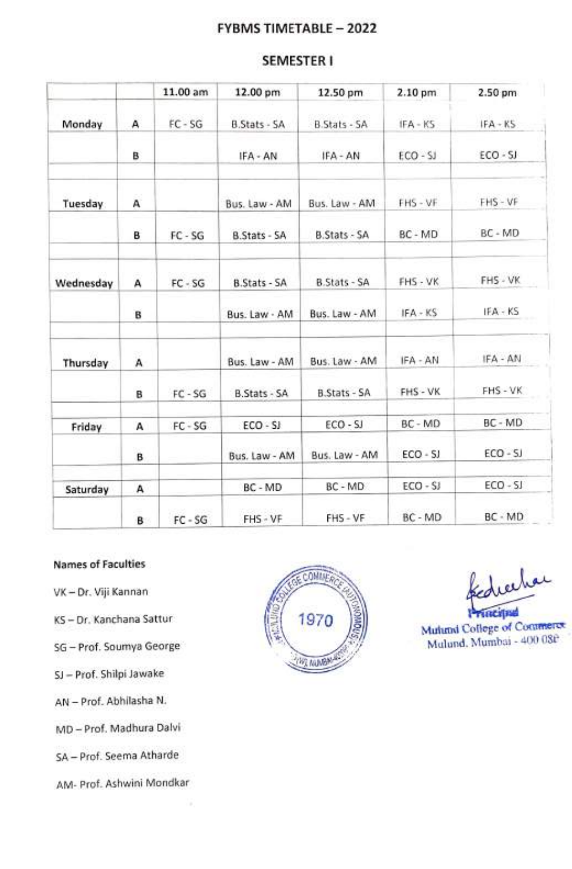# FYBMS TIMETABLE- 2022

|           |   | 11.00 am  | 12.00 pm            | 12.50 pm            | 2.10 pm    | 2.50 pm    |
|-----------|---|-----------|---------------------|---------------------|------------|------------|
| Monday    | А | $FC - SG$ | <b>B.Stats - SA</b> | <b>B.Stats - SA</b> | IFA - KS   | $IFA - KS$ |
|           | в |           | IFA - AN            | IFA - AN            | $ECO-SJ$   | ECO - SJ   |
| Tuesday   | A |           | Bus. Law - AM       | Bus. Law - AM       | FHS - VF   | FHS-VF     |
|           | в | FC-SG     | B.Stats - SA        | <b>B.Stats - SA</b> | BC - MD    | BC - MD    |
| Wednesday | А | $FC - SG$ | <b>B.Stats - SA</b> | B.Stats - SA        | FHS - VK   | FHS - VK   |
|           | B |           | Bus. Law - AM       | Bus. Law - AM       | IFA - KS   | IFA - KS   |
| Thursday  | A |           | Bus. Law - AM       | Bus. Law - AM       | IFA - AN   | IFA - AN   |
|           | в | $FC - SG$ | <b>B.Stats - SA</b> | <b>B.Stats - SA</b> | FHS - VK   | FHS - VK   |
| Friday    | A | $FC - SG$ | $ECO - SI$          | ECO - SJ            | BC - MD    | BC - MD    |
|           | B |           | Bus. Law - AM       | Bus. Law - AM       | $ECO - SJ$ | $ECO-SJ$   |
| Saturday  | А |           | BC - MD             | BC - MD             | $ECO - SI$ | $ECO - SI$ |
|           |   |           |                     |                     |            |            |

# SEMESTERI

#### Names of Faculties

- VK-Dr. Viji Kannan
- 
- SG-Prof. Soumya George
- SJ- Prof. Shilpi Jawake
- AN-Prof. Abhilasha N.
- MD Prof. Madhura Dalvi
- SA- Prof. Seema Atharde
- AM- Prof. Ashwini Mondkar



B FC-SG FHS-VF FHS-VF BC-MD BC-MD

diecho

Mulund. Mumbai - 400 08f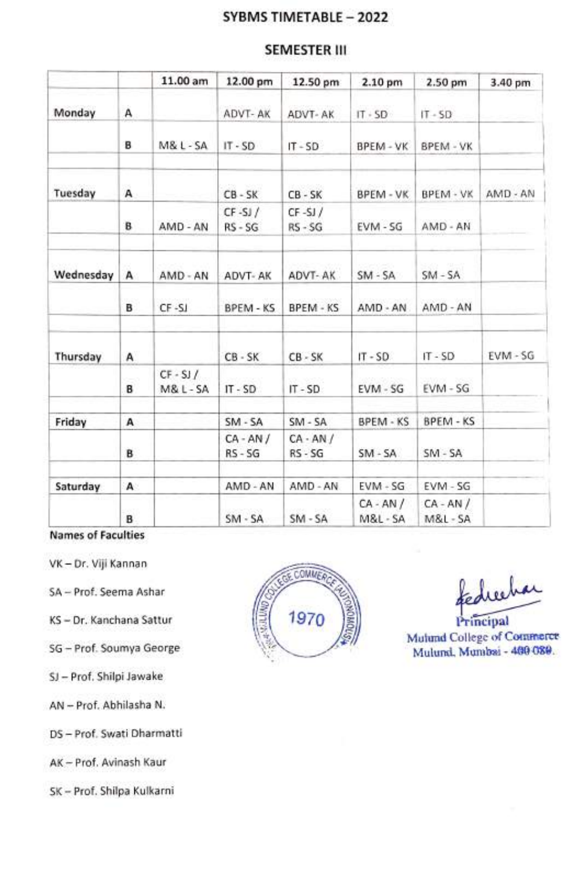# SYBMS TIMETABLE - 2022

# SEMESTER III

|           |   | 11.00 am                         | 12.00 pm                | 12.50 pm                 | 2.10 pm               | 2.50 pm                          | 3.40 pm  |
|-----------|---|----------------------------------|-------------------------|--------------------------|-----------------------|----------------------------------|----------|
| Monday    | А |                                  | ADVT-AK                 | ADVT-AK                  | $IT \cdot SD$         | $IT - SD$                        |          |
|           | в | $M&L-SA$                         | $IT - SD$               | $IT - SD$                | BPEM - VK             | BPEM - VK                        |          |
| Tuesday   | A |                                  | $CB - SK$               | $CB - SK$                | BPEM - VK             | BPEM - VK                        | AMD - AN |
|           | в | AMD - AN                         | $CF-SJ/$<br>RS-SG       | $CF - SI$<br>$RS - SG$   | EVM - SG              | AMD - AN                         |          |
| Wednesday | А | AMD - AN                         | ADVT-AK                 | ADVT-AK                  | $SM - SA$             | $SM - SA$                        |          |
|           | в | $CF-SI$                          | BPEM - KS               | <b>BPEM - KS</b>         | AMD - AN              | AMD - AN                         |          |
| Thursday  | A |                                  | $CB - SK$               | $CB - SK$                | $IT - SD$             | $IT - SD$                        | EVM - SG |
|           | B | $CF - SI /$<br><b>M&amp;L-SA</b> | $IT - SD$               | $IT - SD$                | EVM - SG              | EVM - SG                         |          |
| Friday    | А |                                  | $SM - SA$               | $SM - SA$                | BPEM - KS             | BPEM - KS                        |          |
|           | в |                                  | $CA - AN/$<br>$RS - SG$ | $CA - AN /$<br>$RS - SG$ | $SM - SA$             | $SM - SA$                        |          |
| Saturday  | А |                                  | AMD - AN                | AMD - AN                 | $EVM - SG$            | EVM - SG                         |          |
|           | в |                                  | $SM - SA$               | $SM-SA$                  | $CA - AN /$<br>M&L-SA | $CA - AN$ /<br><b>M&amp;L-SA</b> |          |

Names of Faculties

VK - Dr. Viji Kannan

SJ - Prof. Shilpi Jawake

AN- Prof. Abhilasha N.

DS-Prof. Swati Dharmatti

AK-Prof. Avinash Kaur

SK-Prof. Shilpa Kulkarni



Mutund College of Comrnerce SG-Prof. Soumya George Mulumal, Munich -480 089.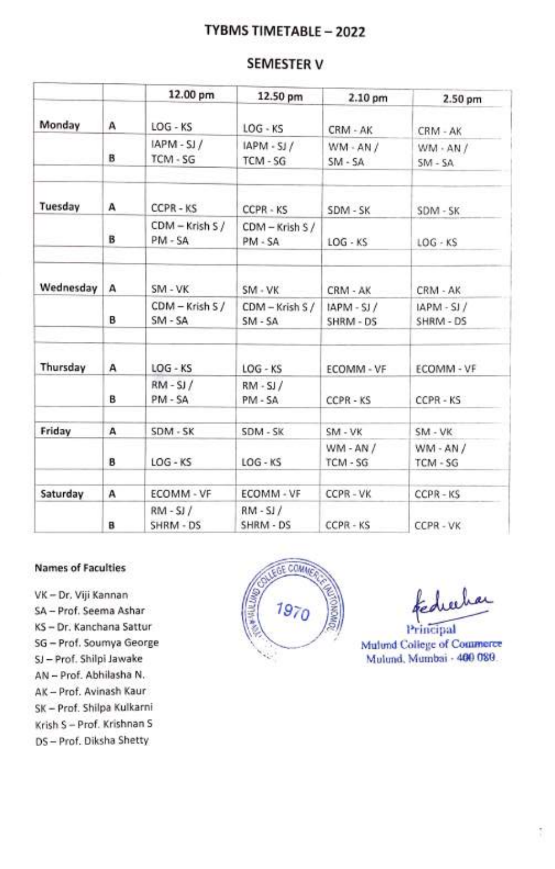# TYBMS TIMETABLE - 2022

# SEMESTER V

|           |   | 12.00 pm                   | 12.50 pm                   | 2.10 pm                 | 2.50 pm                   |
|-----------|---|----------------------------|----------------------------|-------------------------|---------------------------|
| Monday    | А | LOG - KS                   | $LOG - KS$                 | CRM - AK                | CRM - AK                  |
|           | в | IAPM-SJ/<br>TCM - SG       | IAPM - SJ /<br>TCM - SG    | $WM - AN /$<br>$SM-SA$  | $WM - AN /$<br>$SM - SA$  |
| Tuesday   | А | CCPR-KS                    | CCPR - KS                  | SDM - SK                | SDM-SK                    |
|           | в | CDM - Krish S /<br>PM - SA | CDM - Krish S /<br>PM - SA | $LOG - KS$              | $LOG - KS$                |
| Wednesday | А | SM - VK                    | SM-VK                      | CRM - AK                | CRM - AK                  |
|           | в | CDM - Krish S /<br>$SM-SA$ | CDM - Krish S /<br>$SM-SA$ | $IAPM-SJ/$<br>SHRM - DS | $IAPM - SI/$<br>SHRM - DS |
| Thursday  | А | $LOG - KS$                 | $LOG - KS$                 | ECOMM - VF              | ECOMM - VF                |
|           | в | $RM-SJ/$<br>PM - SA        | $RM-SJ/$<br>PM - SA        | CCPR-KS                 | CCPR - KS                 |
| Friday    | А | SDM - SK                   | SDM - SK                   | SM - VK                 | SM - VK                   |
|           | B | $LOG - KS$                 | $LOG - KS$                 | $WM - AN /$<br>TCM - SG | $WM - AN /$<br>TCM - SG   |
| Saturday  | А | ECOMM - VF                 | ECOMM - VF                 | CCPR-VK                 | $CCPR - KS$               |
|           | B | $RM-SJ/$<br>SHRM - DS      | $RM-SJ/$<br>SHRM - DS      | CCPR - KS               | CCPR-VK                   |

#### Names of Faculties MEAN ON A COLLEGE COMING

- VK- Dr. Viji Kannan
- 
- 
- SG-Prof. Soumya George
- SJ-Prof. Shilpi Jawake
- AN-Prof. Abhilasha N.
- AK- Prof. Avinash Kaur
- SK-Prof. Shilpa Kulkarni
- Krish S- Prof. Krishnan S
- DS-Prof. Diksha Shetty



fedicilia

Mulund College of Commerce Mulund. Mumbai - 400 080.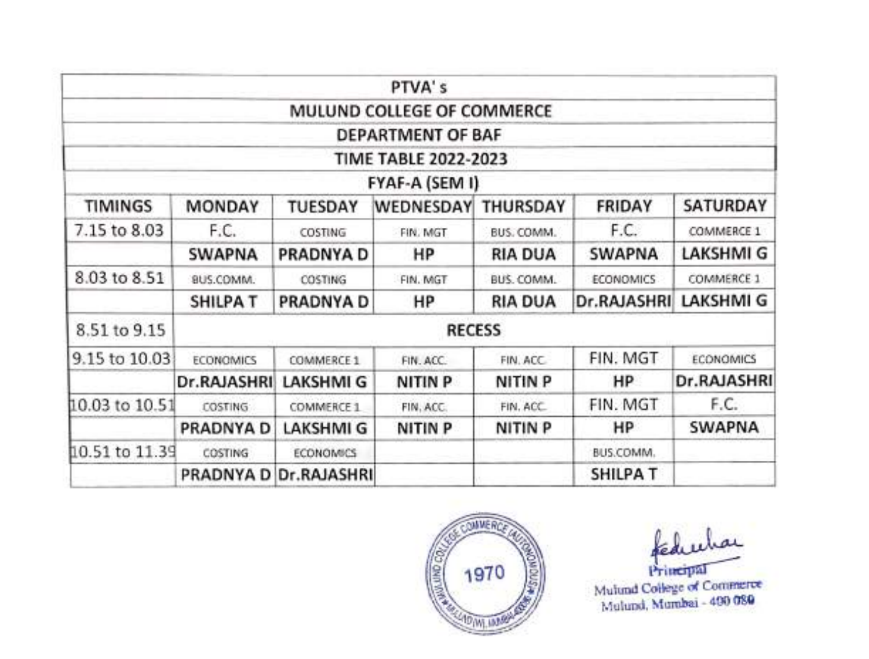|                |                  |                       | PTVA's                      |                |                  |                  |
|----------------|------------------|-----------------------|-----------------------------|----------------|------------------|------------------|
|                |                  |                       | MULUND COLLEGE OF COMMERCE  |                |                  |                  |
|                |                  |                       | <b>DEPARTMENT OF BAF</b>    |                |                  |                  |
|                |                  |                       | <b>TIME TABLE 2022-2023</b> |                |                  |                  |
|                |                  |                       | FYAF-A (SEM I)              |                |                  |                  |
| <b>TIMINGS</b> | MONDAY           | <b>TUESDAY</b>        | WEDNESDAY                   | THURSDAY       | FRIDAY           | SATURDAY         |
| 7.15 to 8.03   | F.C.             | COSTING               | FIN. MGT                    | BUS. COMM.     | F.C.             | COMMERCE 1       |
|                | SWAPNA           | PRADNYA D             | HP                          | <b>RIA DUA</b> | SWAPNA           | <b>LAKSHMI G</b> |
| 8.03 to 8.51   | BUS.COMM.        | COSTING               | FIN. MGT                    | BUS. COMM.     | <b>ECONOMICS</b> | COMMERCE 1       |
|                | <b>SHILPA T</b>  | PRADNYA D             | HP.                         | <b>RIA DUA</b> | Dr.RAJASHRI      | LAKSHMI G        |
| 8.51 to 9.15   |                  |                       | <b>RECESS</b>               |                |                  |                  |
| 9.15 to 10.03  | <b>ECONOMICS</b> | COMMERCE 1            | FIN. ACC.                   | FIN. ACC.      | FIN. MGT         | <b>ECONOMICS</b> |
|                | Dr.RAJASHRI      | <b>LAKSHMI G</b>      | <b>NITIN P</b>              | <b>NITIN P</b> | HP               | Dr.RAJASHRI      |
| 10.03 to 10.51 | <b>COSTING</b>   | COMMERCE 1            | FIN, ACC.                   | FIN. ACC.      | FIN. MGT         | F.C.             |
|                | PRADNYA D        | LAKSHMI G             | NITIN P                     | <b>NITIN P</b> | HP               | <b>SWAPNA</b>    |
| 10.51 to 11.39 | COSTING          | <b>ECONOMICS</b>      |                             |                | BUS.COMM.        |                  |
|                |                  | PRADNYA D Dr.RAJASHRI |                             |                | <b>SHILPA T</b>  |                  |



Mulund College of Commerce Mulund, Mumbai - 400 080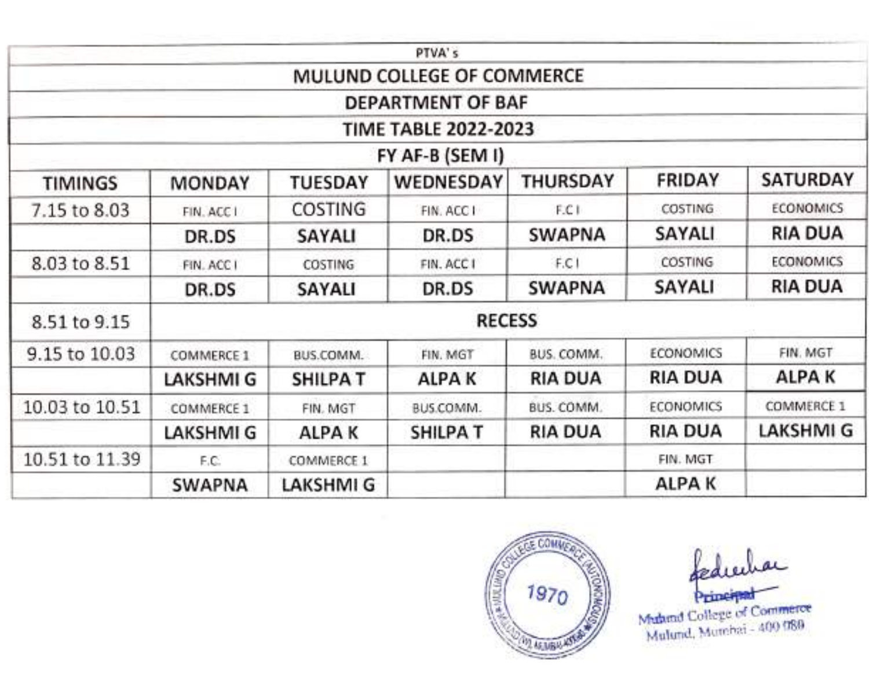|                |               |                  | PTVA's                      |                 |                  |                  |
|----------------|---------------|------------------|-----------------------------|-----------------|------------------|------------------|
|                |               |                  | MULUND COLLEGE OF COMMERCE  |                 |                  |                  |
|                |               |                  | DEPARTMENT OF BAF           |                 |                  |                  |
|                |               |                  | <b>TIME TABLE 2022-2023</b> |                 |                  |                  |
|                |               |                  | FY AF-B (SEM I)             |                 |                  |                  |
| <b>TIMINGS</b> | <b>MONDAY</b> | <b>TUESDAY</b>   | WEDNESDAY                   | <b>THURSDAY</b> | <b>FRIDAY</b>    | <b>SATURDAY</b>  |
| 7.15 to 8.03   | FIN. ACC I    | COSTING          | FIN. ACC I                  | F.C I           | COSTING          | <b>ECONOMICS</b> |
|                | DR.DS         | SAYALI           | DR.DS                       | <b>SWAPNA</b>   | SAYALI           | <b>RIA DUA</b>   |
| 8.03 to 8.51   | FIN. ACC I    | COSTING          | FIN. ACC I                  | F.C1            | COSTING          | <b>ECONOMICS</b> |
|                | DR.DS         | SAYALI           | DR.DS                       | <b>SWAPNA</b>   | <b>SAYALI</b>    | <b>RIA DUA</b>   |
| 8.51 to 9.15   |               |                  | <b>RECESS</b>               |                 |                  |                  |
| 9.15 to 10.03  | COMMERCE 1    | BUS.COMM.        | FIN. MGT                    | BUS. COMM.      | <b>ECONOMICS</b> | FIN. MGT         |
|                | LAKSHMI G     | <b>SHILPAT</b>   | ALPA K                      | <b>RIA DUA</b>  | <b>RIA DUA</b>   | ALPA K           |
| 10.03 to 10.51 | COMMERCE 1    | FIN. MGT         | BUS.COMM.                   | BUS. COMM.      | <b>ECONOMICS</b> | COMMERCE 1       |
|                | LAKSHMI G     | ALPA K           | <b>SHILPAT</b>              | <b>RIA DUA</b>  | <b>RIA DUA</b>   | <b>LAKSHMI G</b> |
| 10.51 to 11.39 | F.C.          | COMMERCE 1       |                             |                 | FIN. MGT         |                  |
|                | <b>SWAPNA</b> | <b>LAKSHMI G</b> |                             |                 | ALPA K           |                  |



Muhand College of Commerce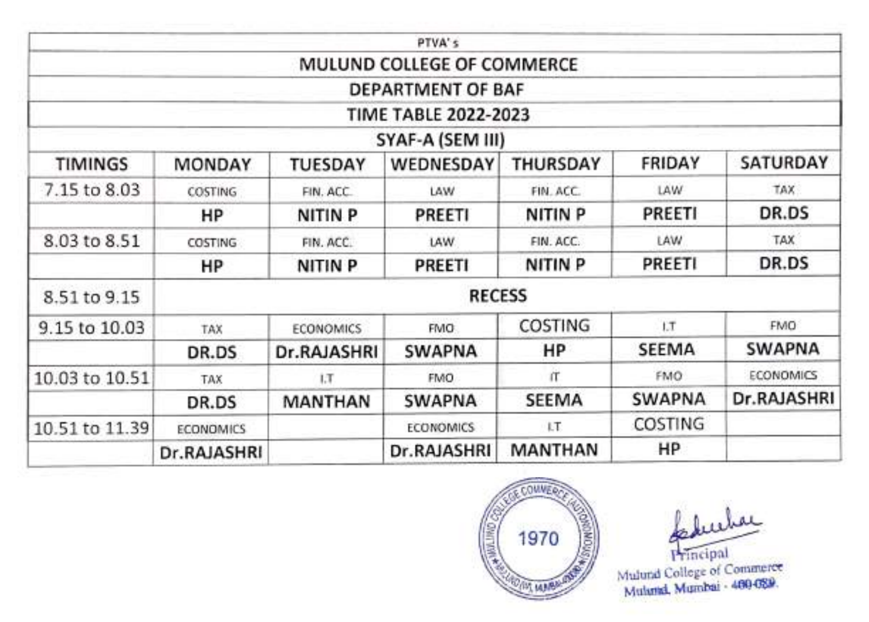|                |                                                                         |                  | PTVA's                      |                    |               |                  |
|----------------|-------------------------------------------------------------------------|------------------|-----------------------------|--------------------|---------------|------------------|
|                |                                                                         |                  | MULUND COLLEGE OF COMMERCE  |                    |               |                  |
|                |                                                                         |                  | DEPARTMENT OF BAF           |                    |               |                  |
|                |                                                                         |                  | <b>TIME TABLE 2022-2023</b> |                    |               |                  |
|                |                                                                         |                  | SYAF-A (SEM III)            |                    |               |                  |
| <b>TIMINGS</b> | SATURDAY<br>FRIDAY<br>WEDNESDAY<br><b>THURSDAY</b><br>MONDAY<br>TUESDAY |                  |                             |                    |               |                  |
| 7.15 to 8.03   | COSTING                                                                 | FIN. ACC.        | LAW                         | FIN. ACC.          | LAW           | TAX              |
|                | HP                                                                      | <b>NITIN P</b>   | PREETI                      | <b>NITIN P</b>     | PREETI        | DR.DS            |
| 8.03 to 8.51   | COSTING                                                                 | FIN. ACC.        | LAW.                        | FIN. ACC.          | LAW           | TAX              |
|                | HP                                                                      | <b>NITIN P</b>   | PREETI                      | NITIN <sub>P</sub> | PREETI        | DR.DS            |
| 8.51 to 9.15   |                                                                         |                  | <b>RECESS</b>               |                    |               |                  |
| 9.15 to 10.03  | TAX                                                                     | <b>ECONOMICS</b> | <b>FMO</b>                  | COSTING            | I.T           | <b>FMO</b>       |
|                | DR.DS                                                                   | Dr.RAJASHRI      | SWAPNA                      | HP                 | SEEMA         | <b>SWAPNA</b>    |
| 10.03 to 10.51 | TAX                                                                     | 1.7              | <b>FMO</b>                  | <b>IT</b>          | FMO           | <b>ECONOMICS</b> |
|                | DR.DS                                                                   | <b>MANTHAN</b>   | <b>SWAPNA</b>               | <b>SEEMA</b>       | <b>SWAPNA</b> | Dr.RAJASHRI      |
| 10.51 to 11.39 | <b>ECONOMICS</b>                                                        |                  | <b>ECONOMICS</b>            | LT.                | COSTING       |                  |
|                | Dr.RAJASHRI                                                             |                  | Dr.RAJASHRI                 | MANTHAN            | HР            |                  |



Principal

Mulund College of Commerce Mulund. Mumbai -460-089.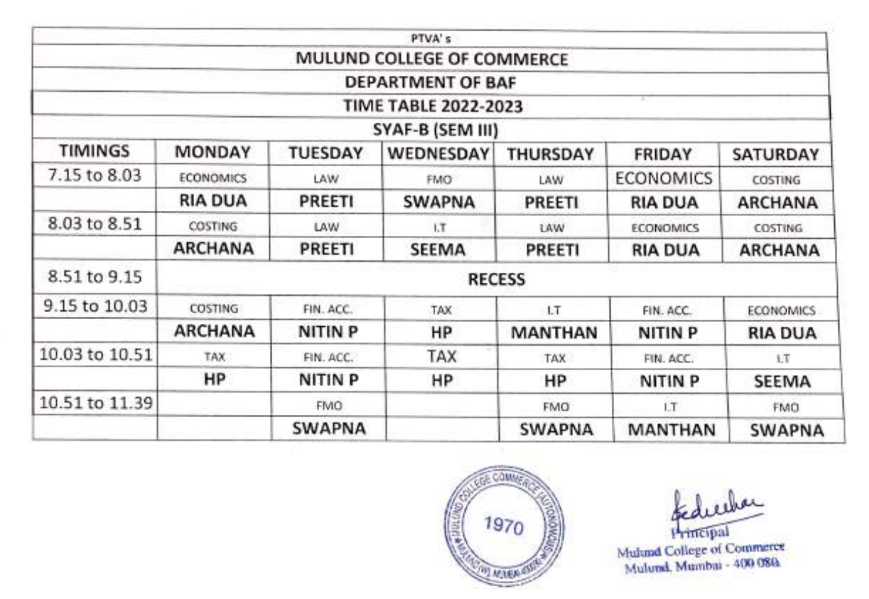|                |                  |                | PTVA's                      |                 |                  |                  |
|----------------|------------------|----------------|-----------------------------|-----------------|------------------|------------------|
|                |                  |                | MULUND COLLEGE OF COMMERCE  |                 |                  |                  |
|                |                  |                | <b>DEPARTMENT OF BAF</b>    |                 |                  |                  |
|                |                  |                | <b>TIME TABLE 2022-2023</b> |                 |                  |                  |
|                |                  |                | SYAF-B (SEM III)            |                 |                  |                  |
| TIMINGS        | <b>MONDAY</b>    | TUESDAY        | WEDNESDAY                   | <b>THURSDAY</b> | FRIDAY           | SATURDAY         |
| 7.15 to 8.03   | <b>ECONOMICS</b> | LAW            | FMO <sup>1</sup>            | LAW             | <b>ECONOMICS</b> | COSTING          |
|                | <b>RIA DUA</b>   | PREETI         | <b>SWAPNA</b>               | PREETI          | <b>RIA DUA</b>   | <b>ARCHANA</b>   |
| 8.03 to 8.51   | <b>COSTING</b>   | LAW            | 1.T                         | LAW             | <b>ECONOMICS</b> | COSTING          |
|                | <b>ARCHANA</b>   | PREETI         | SEEMA                       | PREETI          | <b>RIA DUA</b>   | <b>ARCHANA</b>   |
| 8.51 to 9.15   |                  |                | <b>RECESS</b>               |                 |                  |                  |
| 9.15 to 10.03  | <b>COSTING</b>   | FIN. ACC.      | TAX                         | 1.T             | FIN. ACC.        | <b>ECONOMICS</b> |
|                | <b>ARCHANA</b>   | <b>NITIN P</b> | ΗP                          | <b>MANTHAN</b>  | NITIN P          | <b>RIA DUA</b>   |
| 10.03 to 10.51 | TAX              | FIN. ACC.      | TAX                         | TAX             | FIN. ACC.        | 1.T              |
|                | HP               | <b>NITIN P</b> | HP                          | HP              | <b>NITIN P</b>   | SEEMA            |
| 10.51 to 11.39 |                  | FMO.           |                             | <b>FMO</b>      | LT.              | FMO              |
|                |                  | <b>SWAPNA</b>  |                             | <b>SWAPNA</b>   | <b>MANTHAN</b>   | <b>SWAPNA</b>    |



luchar Principal

Mulund College of Commerce Mulund, Mumbai - 400 086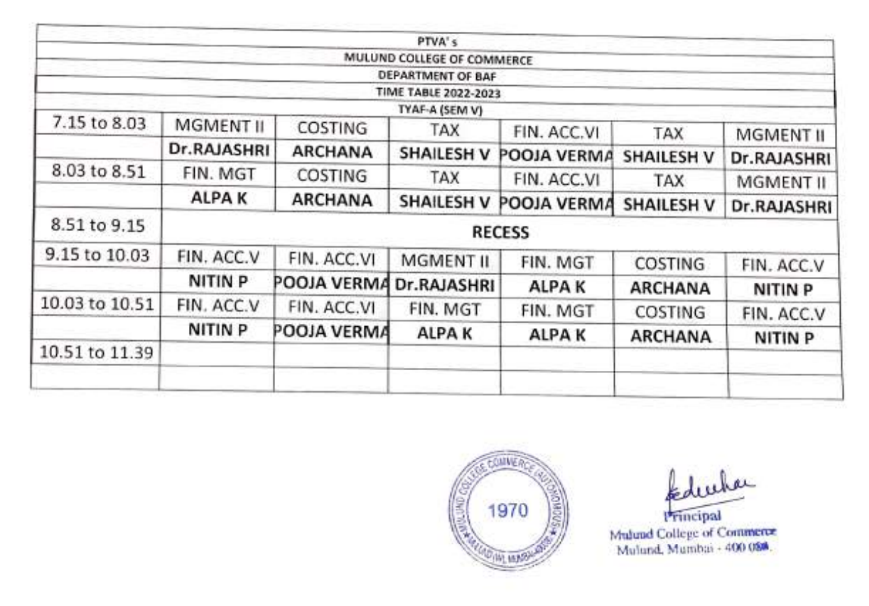| <b>MGMENT II</b><br>COSTING | MULUND COLLEGE OF COMMERCE<br>DEPARTMENT OF BAF<br><b>TIME TABLE 2022-2023</b><br>TYAF-A (SEM V)<br>TAX            |                                         |                                                          |                                                                                                   |
|-----------------------------|--------------------------------------------------------------------------------------------------------------------|-----------------------------------------|----------------------------------------------------------|---------------------------------------------------------------------------------------------------|
|                             |                                                                                                                    |                                         |                                                          |                                                                                                   |
|                             |                                                                                                                    |                                         |                                                          |                                                                                                   |
|                             |                                                                                                                    |                                         |                                                          |                                                                                                   |
|                             |                                                                                                                    |                                         |                                                          |                                                                                                   |
|                             |                                                                                                                    | FIN. ACC.VI                             | TAX                                                      | MGMENT II                                                                                         |
|                             | <b>SHAILESH V</b>                                                                                                  | POOJA VERMA                             | <b>SHAILESH V</b>                                        | Dr.RAJASHRI                                                                                       |
| COSTING                     | TAX                                                                                                                | FIN. ACC.VI                             | TAX                                                      | MGMENT II                                                                                         |
| <b>ARCHANA</b>              | <b>SHAILESH V</b>                                                                                                  |                                         |                                                          | <b>Dr.RAJASHRI</b>                                                                                |
|                             |                                                                                                                    |                                         |                                                          |                                                                                                   |
| FIN. ACC.VI                 |                                                                                                                    |                                         |                                                          | FIN. ACC.V                                                                                        |
|                             |                                                                                                                    | <b>ALPAK</b>                            |                                                          | <b>NITIN P</b>                                                                                    |
| FIN. ACC.VI                 | FIN. MGT                                                                                                           | FIN. MGT                                |                                                          | FIN. ACC.V                                                                                        |
|                             | <b>ALPAK</b>                                                                                                       |                                         |                                                          | <b>NITIN P</b>                                                                                    |
|                             |                                                                                                                    |                                         |                                                          |                                                                                                   |
|                             |                                                                                                                    |                                         |                                                          |                                                                                                   |
|                             | Dr.RAJASHRI<br><b>ARCHANA</b><br>FIN. MGT<br><b>ALPAK</b><br>FIN. ACC.V<br>NITIN P<br>FIN. ACC.V<br><b>NITIN P</b> | MGMENT II<br>POOJA VERMA<br>POOJA VERMA | <b>RECESS</b><br>FIN. MGT<br>Dr.RAJASHRI<br><b>ALPAK</b> | POOJA VERMA<br><b>SHAILESH V</b><br><b>COSTING</b><br><b>ARCHANA</b><br>COSTING<br><b>ARCHANA</b> |



kduuha

Principal Mulund, Mumbai 400 084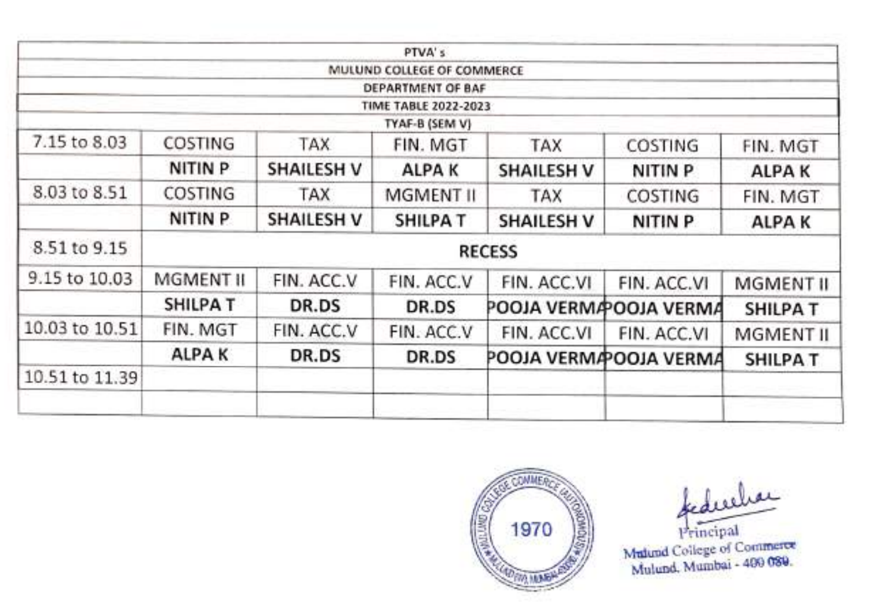|                |                |                   | PTVA's                      |                   |                        |                |
|----------------|----------------|-------------------|-----------------------------|-------------------|------------------------|----------------|
|                |                |                   | MULUND COLLEGE OF COMMERCE  |                   |                        |                |
|                |                |                   | DEPARTMENT OF BAF           |                   |                        |                |
|                |                |                   | <b>TIME TABLE 2022-2023</b> |                   |                        |                |
|                |                |                   | TYAF-B (SEM V)              |                   |                        |                |
| 7.15 to 8.03   | COSTING        | TAX               | FIN. MGT                    | TAX               | COSTING                | FIN. MGT       |
|                | <b>NITIN P</b> | <b>SHAILESH V</b> | <b>ALPAK</b>                | <b>SHAILESH V</b> | NITIN <sub>P</sub>     | <b>ALPAK</b>   |
| 8.03 to 8.51   | COSTING        | TAX               | MGMENT II                   | <b>TAX</b>        | COSTING                | FIN. MGT       |
|                | NITIN P        | <b>SHAILESH V</b> | <b>SHILPAT</b>              | <b>SHAILESH V</b> | NITIN <sub>P</sub>     | <b>ALPAK</b>   |
| 8.51 to 9.15   |                |                   |                             | <b>RECESS</b>     |                        |                |
| 9.15 to 10.03  | MGMENT II      | FIN. ACC.V        | FIN. ACC.V                  | FIN. ACC.VI       | FIN. ACC.VI            | MGMENT II      |
|                | <b>SHILPAT</b> | DR.DS             | DR.DS                       |                   | POOJA VERMA OOJA VERMA | <b>SHILPAT</b> |
| 10.03 to 10.51 | FIN. MGT       | FIN. ACC.V        | FIN. ACC.V                  | FIN. ACC.VI       | FIN. ACC.VI            | MGMENT II      |
|                | <b>ALPAK</b>   | DR.DS             | DR.DS                       |                   | POOJA VERMA OOJA VERMA | <b>SHILPAT</b> |
| 10.51 to 11.39 |                |                   |                             |                   |                        |                |
|                |                |                   |                             |                   |                        |                |



Mulund Coilege of Commerce<br>Mulund. Mumbai - 400 089.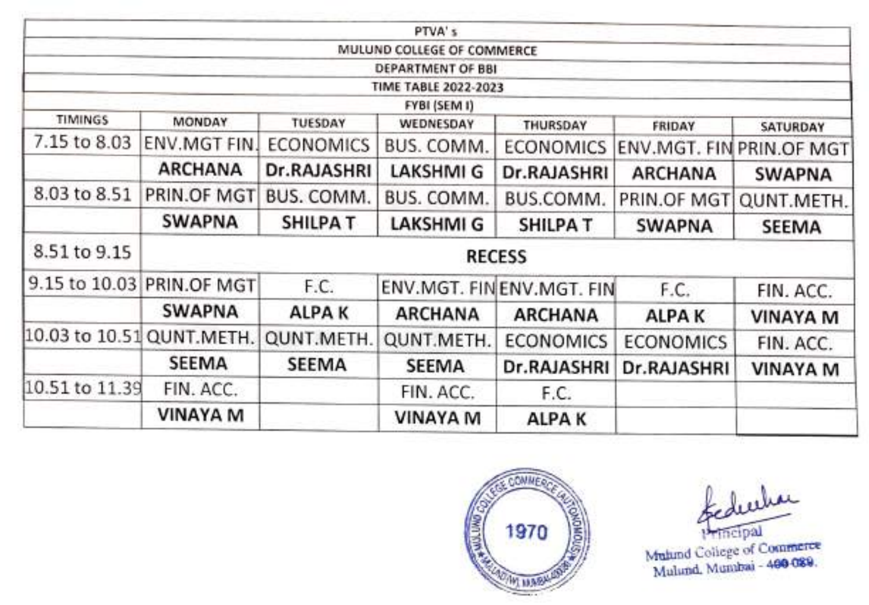|                           |                           |                  | PTVA's                      |                          |                  |                          |
|---------------------------|---------------------------|------------------|-----------------------------|--------------------------|------------------|--------------------------|
|                           |                           |                  | MULUND COLLEGE OF COMMERCE  |                          |                  |                          |
|                           |                           |                  | DEPARTMENT OF BBI           |                          |                  |                          |
|                           |                           |                  | <b>TIME TABLE 2022-2023</b> |                          |                  |                          |
| <b>TIMINGS</b>            |                           |                  | FYBI (SEM I)                |                          |                  |                          |
|                           | MONDAY                    | TUESDAY          | WEDNESDAY                   | THURSDAY                 | FRIDAY           | <b>SATURDAY</b>          |
| 7.15 to 8.03              | ENV.MGT FIN.              | <b>ECONOMICS</b> | BUS. COMM.                  | <b>ECONOMICS</b>         |                  | ENV.MGT. FIN PRIN.OF MGT |
|                           | <b>ARCHANA</b>            | Dr.RAJASHRI      | <b>LAKSHMI G</b>            | Dr.RAJASHRI              | <b>ARCHANA</b>   | <b>SWAPNA</b>            |
| 8.03 to 8.51              | PRIN.OF MGT               | BUS. COMM.       | BUS. COMM.                  | BUS.COMM.                | PRIN.OF MGT      | QUNT.METH.               |
|                           | <b>SWAPNA</b>             | <b>SHILPAT</b>   | <b>LAKSHMI G</b>            | <b>SHILPA T</b>          | <b>SWAPNA</b>    | <b>SEEMA</b>             |
| 8.51 to 9.15              |                           |                  |                             | <b>RECESS</b>            |                  |                          |
|                           | 9.15 to 10.03 PRIN.OF MGT | F.C.             |                             | ENV.MGT. FINENV.MGT. FIN | F.C.             | FIN. ACC.                |
|                           | <b>SWAPNA</b>             | <b>ALPAK</b>     | <b>ARCHANA</b>              | <b>ARCHANA</b>           | <b>ALPAK</b>     | <b>VINAYA M</b>          |
| 10.03 to 10.51 QUNT.METH. |                           | QUNT.METH.       | QUNT.METH.                  | <b>ECONOMICS</b>         | <b>ECONOMICS</b> | FIN. ACC.                |
|                           | <b>SEEMA</b>              | SEEMA            | <b>SEEMA</b>                | Dr.RAJASHRI              | Dr.RAJASHRI      | <b>VINAYA M</b>          |
| 10.51 to 11.39            | FIN. ACC.                 |                  | FIN. ACC.                   | F.C.                     |                  |                          |
|                           | <b>VINAYA M</b>           |                  | <b>VINAYA M</b>             | ALPA K                   |                  |                          |



mcipal

Muhind College of Commerce Mulund, Mumbai - 480-089.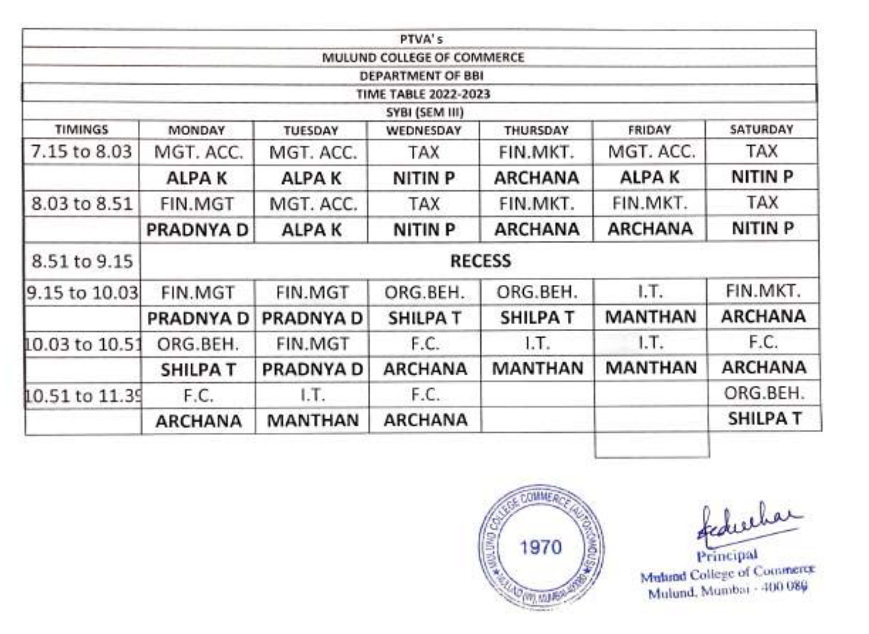|                |                |                  | PTVA's                      |                |                |                |
|----------------|----------------|------------------|-----------------------------|----------------|----------------|----------------|
|                |                |                  | MULUND COLLEGE OF COMMERCE  |                |                |                |
|                |                |                  | DEPARTMENT OF BBI           |                |                |                |
|                |                |                  | <b>TIME TABLE 2022-2023</b> |                |                |                |
|                |                |                  | SYBI (SEM III)              |                |                |                |
| <b>TIMINGS</b> | MONDAY         | TUESDAY          | WEDNESDAY                   | THURSDAY       | <b>FRIDAY</b>  | SATURDAY       |
| 7.15 to 8.03   | MGT. ACC.      | MGT. ACC.        | TAX                         | FIN.MKT.       | MGT. ACC.      | TAX            |
|                | <b>ALPAK</b>   | <b>ALPAK</b>     | NITIN P                     | <b>ARCHANA</b> | <b>ALPAK</b>   | NITIN P        |
| 8.03 to 8.51   | FIN.MGT        | MGT. ACC.        | TAX                         | FIN.MKT.       | FIN.MKT.       | <b>TAX</b>     |
|                | PRADNYA D      | <b>ALPAK</b>     | <b>NITIN P</b>              | <b>ARCHANA</b> | <b>ARCHANA</b> | NITIN P        |
| 8.51 to 9.15   |                |                  |                             | <b>RECESS</b>  |                |                |
| 9.15 to 10.03  | FIN.MGT        | FIN.MGT          | ORG.BEH.                    | ORG.BEH.       | I.T.           | FIN.MKT.       |
|                | PRADNYA D      | <b>PRADNYA D</b> | <b>SHILPAT</b>              | <b>SHILPAT</b> | <b>MANTHAN</b> | <b>ARCHANA</b> |
| 10.03 to 10.51 | ORG.BEH.       | FIN.MGT          | F.C.                        | I.T.           | 1.7.           | F.C.           |
|                | <b>SHILPAT</b> | PRADNYA D        | <b>ARCHANA</b>              | <b>MANTHAN</b> | <b>MANTHAN</b> | ARCHANA        |
| 10.51 to 11.39 | F.C.           | I.T.             | F.C.                        |                |                | ORG.BEH.       |
|                | <b>ARCHANA</b> | <b>MANTHAN</b>   | <b>ARCHANA</b>              |                |                | <b>SHILPAT</b> |



Muland College of Commerce Mulund. Munbai - 400 089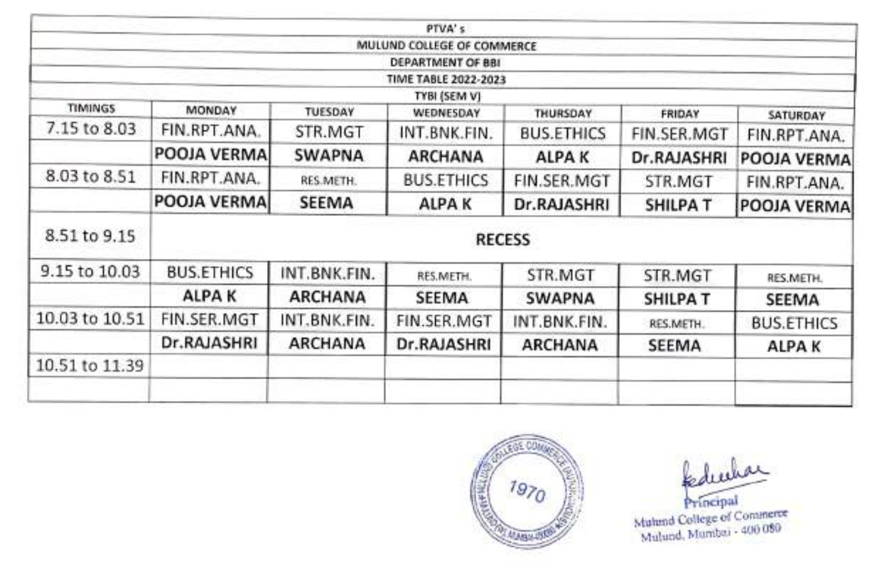|                |                   |                                                  | PTVA's                      |                   |                       |                                 |  |  |
|----------------|-------------------|--------------------------------------------------|-----------------------------|-------------------|-----------------------|---------------------------------|--|--|
|                |                   |                                                  | MULUND COLLEGE OF COMMERCE  |                   |                       |                                 |  |  |
|                |                   |                                                  | DEPARTMENT OF BBI           |                   |                       |                                 |  |  |
|                |                   |                                                  | <b>TIME TABLE 2022-2023</b> |                   |                       |                                 |  |  |
| <b>TIMINGS</b> | MONDAY            | TYBI (SEM V)<br>TUESDAY<br>WEDNESDAY<br>THURSDAY |                             |                   |                       |                                 |  |  |
| 7.15 to 8.03   | FIN.RPT.ANA.      | STR.MGT                                          | INT.BNK.FIN.                | <b>BUS.ETHICS</b> | FRIDAY<br>FIN.SER.MGT | <b>SATURDAY</b><br>FIN.RPT.ANA. |  |  |
|                | POOJA VERMA       | <b>SWAPNA</b>                                    | <b>ARCHANA</b>              | <b>ALPAK</b>      | Dr.RAJASHRI           | POOJA VERMA                     |  |  |
| 8.03 to 8.51   | FIN.RPT.ANA.      | RES.METH.                                        | <b>BUS.ETHICS</b>           | FIN.SER.MGT       | STR.MGT               | FIN.RPT.ANA.                    |  |  |
|                | POOJA VERMA       | <b>SEEMA</b>                                     | <b>ALPAK</b>                | Dr.RAJASHRI       | <b>SHILPA T</b>       | POOJA VERMA                     |  |  |
| 8.51 to 9.15   |                   |                                                  |                             | <b>RECESS</b>     |                       |                                 |  |  |
| 9.15 to 10.03  | <b>BUS.ETHICS</b> | INT.BNK.FIN.                                     | RES.METH.                   | STR.MGT           | STR.MGT               | RES.METH.                       |  |  |
|                | <b>ALPAK</b>      | <b>ARCHANA</b>                                   | <b>SEEMA</b>                | <b>SWAPNA</b>     | <b>SHILPAT</b>        | SEEMA                           |  |  |
| 10.03 to 10.51 | FIN.SER.MGT       | INT.BNK.FIN.                                     | FIN.SER.MGT                 | INT.BNK.FIN.      | RES.METH.             | <b>BUS.ETHICS</b>               |  |  |
|                | Dr.RAJASHRI       | <b>ARCHANA</b>                                   | Dr.RAJASHRI                 | <b>ARCHANA</b>    | SEEMA                 | ALPA K                          |  |  |
| 10.51 to 11.39 |                   |                                                  |                             |                   |                       |                                 |  |  |
|                |                   |                                                  |                             |                   |                       |                                 |  |  |



Mulund College of Commerce Mulund. Mumbai - 400 080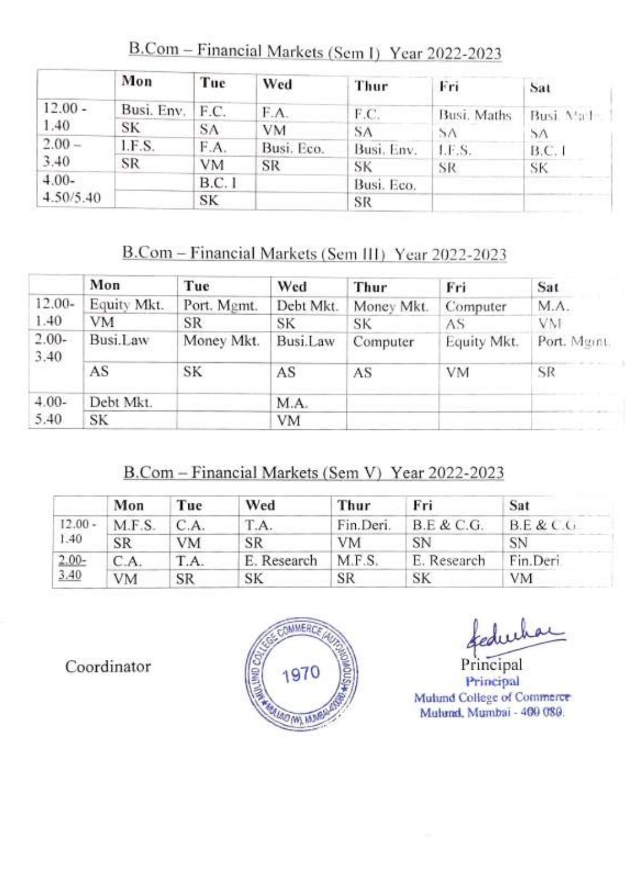|           | Mon        | Tue   | Wed        | Thur       | Fri         | Sat            |
|-----------|------------|-------|------------|------------|-------------|----------------|
| $12.00 -$ | Busi. Env. | F.C.  | F.A.       | F.C.       | Busi. Maths | Busi. Math.    |
| 1.40      | SK         | SA    | VM         | SA         | SΛ          | 5 <sub>A</sub> |
| $2.00 -$  | I.F.S.     | F.A.  | Busi. Eco. | Busi, Env. | LE.S.       | B.C.1          |
| 3.40      | SR         | VM    | <b>SR</b>  | SK         | SR          | SK.            |
| $4.00-$   |            | B.C.1 |            | Busi. Eco. |             |                |
| 4.50/5.40 |            | SK    |            | SR         |             |                |

B.Com - Financial Markets (Sem I) Year 2022-2023

# B.Com-Financial Markets (Sem II) Year 2022-2023

|                 | Mon         | Tue         | Wed       | Thur       | Fri         | Sat         |
|-----------------|-------------|-------------|-----------|------------|-------------|-------------|
| $12.00-$        | Equity Mkt. | Port. Mgmt. | Debt Mkt. | Money Mkt. | Computer    | M.A.        |
| 1.40            | VM          | <b>SR</b>   | SK        | SK         | AS          | VM          |
| $2.00-$<br>3.40 | Busi.Law    | Money Mkt.  | Busi.Law  | Computer   | Equity Mkt. | Port. Mgmt. |
|                 | AS          | SK          | AS        | AS         | <b>VM</b>   | SR          |
| $4.00-$         | Debt Mkt.   |             | M.A.      |            |             |             |
| 5.40            | SK          |             | VM        |            |             |             |

# B.Com-Financial Markets (Sem V) Year 2022-2023

|           | Mon       | Tue       | Wed         | Thur      | Fri         | Sat       |
|-----------|-----------|-----------|-------------|-----------|-------------|-----------|
| $12.00 -$ | M.F.S.    | C.A.      | T.A.        | Fin.Deri. | B.E & C.G.  | B.E & C.G |
| 1.40      | <b>SR</b> | <b>VM</b> | SR          | VM        | SN          | SN        |
| $2.00-$   | C.A.      | T.A.      | E. Research | M.F.S.    | E. Research | Fin.Deri  |
| 3.40      | VM        | SR        | SК          | SR        | SK          | <b>VM</b> |

Coordinator



kedwha

Principal<br>Principal Mulund College of Commerce Mulund, Mumbai - 400 080.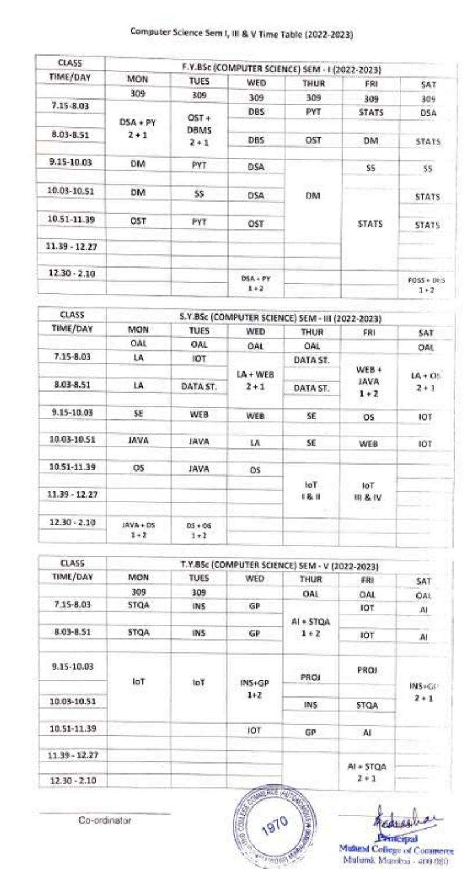# Computer Science Sem , Il & V Time Table (2022-2023)

| <b>CLASS</b>   |            |                        | F.Y.BSc (COMPUTER SCIENCE) SEM - I (2022-2023) |      |              |                   |
|----------------|------------|------------------------|------------------------------------------------|------|--------------|-------------------|
| TIME/DAY       | MON        | <b>TUES</b>            | WED                                            | THUR | FRI          | SAT               |
|                | 309        | 309                    | 309                                            | 309  | 309          | 309               |
| 7.15-8.03      |            |                        | <b>DBS</b>                                     | PYT  | <b>STATS</b> | <b>DSA</b>        |
|                | $DSA + PY$ | $OST +$<br><b>DBMS</b> |                                                |      |              |                   |
| 8.03-8.51      | $2 + 1$    | $2 + 1$                | <b>DBS</b>                                     | OST  | <b>DM</b>    | STATS:            |
| 9.15-10.03     | DM         | PYT                    | <b>DSA</b>                                     |      | SS           | 55                |
| 10.03-10.51    | DM         | SS <sub>1</sub>        | <b>DSA</b>                                     | DM   |              | <b>STATS</b>      |
| 10.51-11.39    | OST        | <b>PYT</b>             | OST                                            |      | <b>STATS</b> | <b>STATS</b>      |
| 11.39 - 12.27  |            |                        |                                                |      |              |                   |
| $12.30 - 2.10$ |            |                        | DSA + PY                                       |      |              | <b>FOSS + DES</b> |
|                |            |                        | $1+2$                                          |      |              | $1 + 2$           |

| <b>MON</b>  | <b>TUES</b>   | WED                   | THUR          | FRI                        | SAT                                                                                   |
|-------------|---------------|-----------------------|---------------|----------------------------|---------------------------------------------------------------------------------------|
| OAL         | OAL           | OAL                   | OAL           |                            | OAL                                                                                   |
| LA          | IOT           |                       | DATA ST.      |                            |                                                                                       |
|             |               | $LA + WEB$            |               |                            | $LA + OS$                                                                             |
| LA          | DATA ST.      | $2 + 1$               | DATA ST.      |                            | $2 + 1$                                                                               |
|             |               |                       |               |                            |                                                                                       |
|             |               | WEB                   | SE            | O <sub>5</sub>             | IOT                                                                                   |
| <b>AVAL</b> | <b>AVAL</b>   | LA                    | SE            | WEB                        | IOT                                                                                   |
| OS          | <b>JAVA</b>   | OS.                   |               |                            |                                                                                       |
|             |               |                       | IoT.<br>18.11 | 1oT<br><b>III &amp; IV</b> |                                                                                       |
| $JAVA + DS$ | $05 + 05$     |                       |               |                            |                                                                                       |
|             | SE<br>$1 + 2$ | <b>WEB</b><br>$1 + 2$ |               |                            | S.Y.BSc (COMPUTER SCIENCE) SEM - III (2022-2023)<br>$WEB +$<br><b>JAVA</b><br>$1 + 2$ |

| <b>CLASS</b>   |             |            |          | T.Y.BSc (COMPUTER SCIENCE) SEM - V (2022-2023) |                      |         |
|----------------|-------------|------------|----------|------------------------------------------------|----------------------|---------|
| TIME/DAY       | <b>MON</b>  | TUES       | WED      | THUR                                           | FRI                  | SAT     |
|                | 309         | 309        |          | OAL                                            | OAL                  | OAL     |
| $7.15 - 8.03$  | <b>STQA</b> | <b>INS</b> | GP       |                                                | <b>IOT</b>           | A       |
|                |             |            |          | AI + STOA                                      |                      |         |
| 8.03-8.51      | <b>STQA</b> | INS.       | GP       | $1 * 2$                                        | <b>IOT</b>           | AI      |
| 9.15-10.03     | loT         | 1oT        | $INS+GP$ | PROJ                                           | PROJ                 | INS+GF  |
| 10.03-10.51    |             |            | $1+2$    | INS.                                           | <b>STQA</b>          | $2 * 1$ |
| 10.51-11.39    |             |            | IOT      | GP.                                            | <b>AI</b>            |         |
| 11.39 - 12.27  |             |            |          |                                                |                      |         |
| $12.30 - 2.10$ |             |            |          |                                                | AI + STOA<br>$2 * 1$ |         |

Co-ordinator 1970 **FORD BAY** 

Acoussi

**Principal**<br>Muland College of Commerce Mulund. Munmbai 400 080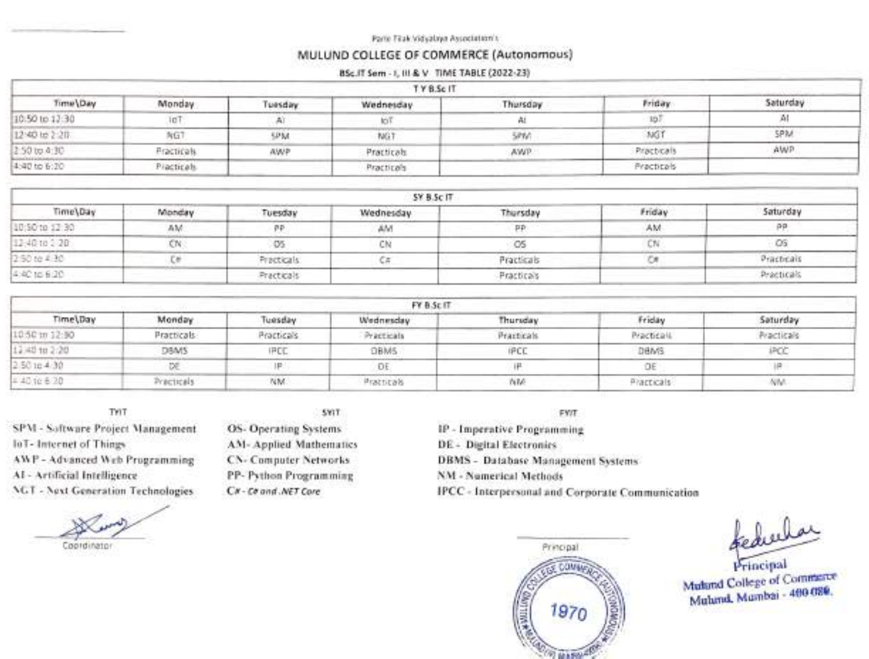Parle Tilak Vidyalaya Association's

#### MULUND cOLLEGE OF COMMERCE (Autonomous)

#### BSc.IT Sem - 1, 111 & V TIME TABLE (2022-23)

|                | TYB.Sc IT         |           |            |           |            |          |
|----------------|-------------------|-----------|------------|-----------|------------|----------|
| Time Day       | Monday            | Tuesday   | Wednesday  | Thursday. | Friday     | Saturday |
| 10.50 to 13:30 | <b>InT</b>        |           |            |           | 15         |          |
| 12:40 to 2:20  | NGT               | <b>UW</b> | NG1        | 5890      | MG         | SPM.     |
| 2:50 to 4:30   | <b>Practicals</b> | AWP       | Practicals | AWP.      | Practicals | AWP      |
| 4:40 to 6:20   | Practicals        |           | Practicals |           | Practicals |          |

|                | SY B.Sc IT |            |           |            |        |            |  |  |
|----------------|------------|------------|-----------|------------|--------|------------|--|--|
| Time\Day       | Monday     | Tuesday    | Wednesday | Thursday   | Friday | Saturday   |  |  |
| 10:50 to 12:30 | AM         |            | AM        |            | AM     | $\Omega$   |  |  |
| 13:40 to 2:20  | ĆΝ         |            |           | w          |        | $-OS$      |  |  |
| 2:50 to 4:30   |            | Practicals |           | Practicals |        | Practicals |  |  |
| 4:40 to 6:20   |            | Practicals |           | Practicals |        | Practicals |  |  |

| FY B.Sc IT     |            |             |             |                   |             |             |
|----------------|------------|-------------|-------------|-------------------|-------------|-------------|
| Time\Day       | Monday     | Tuesday     | Wednesday   | Thursday.         | Friday      | Saturday    |
| 10:50 to 12:50 | Practicals | Practicals: | Practicals  | <b>Practicals</b> | PracticalL  | Practicals  |
| 12,40 to 2:20  | DBMS       | <b>IFCC</b> | <b>DBMS</b> | <b>IPCL</b>       | DEMS        | <b>IPOC</b> |
| 2.58164.30     |            |             | ĐE          |                   | ΟE          |             |
| $= 40$ 10 6 20 | Precticals | NM.         | Pratticals  | NM                | Practicals. | NW.         |

SPM - Software Project Management OS- Operating Systems loT- Internet of Things AWP Advanced Web Programming Al- Artificial Intelligence NGT - Next Generation Technologies

TYIT SYIT FYIT

AM- Applied Mathematies CN- Computer Networks PP- Python Programming CH-Ca and .NET Core

IP - Imperative Programming DE - Digital Electronics DBMS - Database Management Systems NM - Numerical Methods IPCC - Interpersonal and Corporate Communication



feductor

Mulund College of Commerce Mulund, Mumbai - 4e0 080.